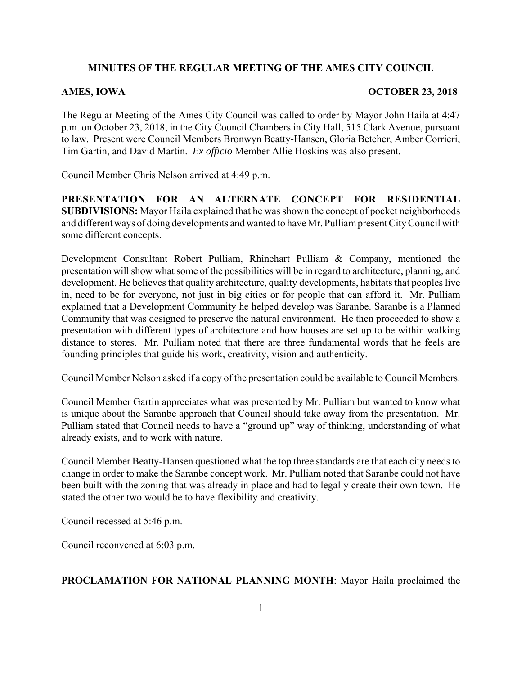# **MINUTES OF THE REGULAR MEETING OF THE AMES CITY COUNCIL**

#### AMES, IOWA **OCTOBER 23, 2018**

The Regular Meeting of the Ames City Council was called to order by Mayor John Haila at 4:47 p.m. on October 23, 2018, in the City Council Chambers in City Hall, 515 Clark Avenue, pursuant to law. Present were Council Members Bronwyn Beatty-Hansen, Gloria Betcher, Amber Corrieri, Tim Gartin, and David Martin. *Ex officio* Member Allie Hoskins was also present.

Council Member Chris Nelson arrived at 4:49 p.m.

**PRESENTATION FOR AN ALTERNATE CONCEPT FOR RESIDENTIAL SUBDIVISIONS:** Mayor Haila explained that he was shown the concept of pocket neighborhoods and different ways of doing developments and wanted to have Mr. Pulliam present City Council with some different concepts.

Development Consultant Robert Pulliam, Rhinehart Pulliam & Company, mentioned the presentation will show what some of the possibilities will be in regard to architecture, planning, and development. He believes that quality architecture, quality developments, habitats that peoples live in, need to be for everyone, not just in big cities or for people that can afford it. Mr. Pulliam explained that a Development Community he helped develop was Saranbe. Saranbe is a Planned Community that was designed to preserve the natural environment. He then proceeded to show a presentation with different types of architecture and how houses are set up to be within walking distance to stores. Mr. Pulliam noted that there are three fundamental words that he feels are founding principles that guide his work, creativity, vision and authenticity.

Council Member Nelson asked if a copy of the presentation could be available to Council Members.

Council Member Gartin appreciates what was presented by Mr. Pulliam but wanted to know what is unique about the Saranbe approach that Council should take away from the presentation. Mr. Pulliam stated that Council needs to have a "ground up" way of thinking, understanding of what already exists, and to work with nature.

Council Member Beatty-Hansen questioned what the top three standards are that each city needs to change in order to make the Saranbe concept work. Mr. Pulliam noted that Saranbe could not have been built with the zoning that was already in place and had to legally create their own town. He stated the other two would be to have flexibility and creativity.

Council recessed at 5:46 p.m.

Council reconvened at 6:03 p.m.

### **PROCLAMATION FOR NATIONAL PLANNING MONTH**: Mayor Haila proclaimed the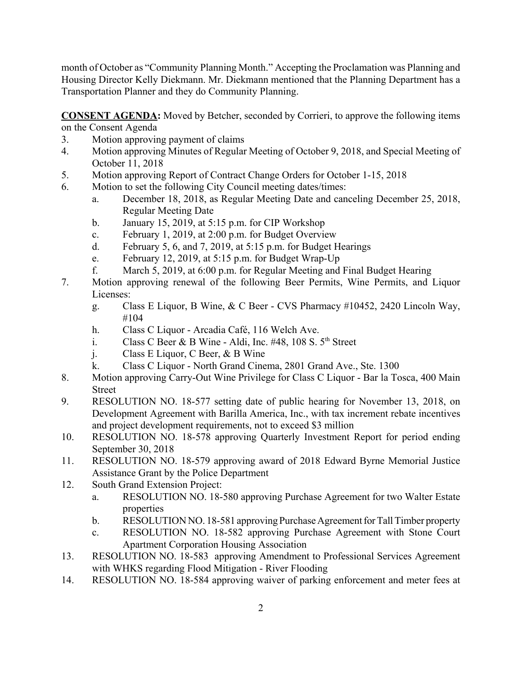month of October as "Community Planning Month." Accepting the Proclamation was Planning and Housing Director Kelly Diekmann. Mr. Diekmann mentioned that the Planning Department has a Transportation Planner and they do Community Planning.

**CONSENT AGENDA:** Moved by Betcher, seconded by Corrieri, to approve the following items on the Consent Agenda

- 3. Motion approving payment of claims
- 4. Motion approving Minutes of Regular Meeting of October 9, 2018, and Special Meeting of October 11, 2018
- 5. Motion approving Report of Contract Change Orders for October 1-15, 2018
- 6. Motion to set the following City Council meeting dates/times:
	- a. December 18, 2018, as Regular Meeting Date and canceling December 25, 2018, Regular Meeting Date
	- b. January 15, 2019, at 5:15 p.m. for CIP Workshop
	- c. February 1, 2019, at 2:00 p.m. for Budget Overview
	- d. February 5, 6, and 7, 2019, at 5:15 p.m. for Budget Hearings
	- e. February 12, 2019, at 5:15 p.m. for Budget Wrap-Up
	- f. March 5, 2019, at 6:00 p.m. for Regular Meeting and Final Budget Hearing
- 7. Motion approving renewal of the following Beer Permits, Wine Permits, and Liquor Licenses:
	- g. Class E Liquor, B Wine, & C Beer CVS Pharmacy #10452, 2420 Lincoln Way, #104
	- h. Class C Liquor Arcadia Café, 116 Welch Ave.
	- i. Class C Beer & B Wine Aldi, Inc. #48, 108 S.  $5<sup>th</sup>$  Street
	- j. Class E Liquor, C Beer, & B Wine
	- k. Class C Liquor North Grand Cinema, 2801 Grand Ave., Ste. 1300
- 8. Motion approving Carry-Out Wine Privilege for Class C Liquor Bar la Tosca, 400 Main Street
- 9. RESOLUTION NO. 18-577 setting date of public hearing for November 13, 2018, on Development Agreement with Barilla America, Inc., with tax increment rebate incentives and project development requirements, not to exceed \$3 million
- 10. RESOLUTION NO. 18-578 approving Quarterly Investment Report for period ending September 30, 2018
- 11. RESOLUTION NO. 18-579 approving award of 2018 Edward Byrne Memorial Justice Assistance Grant by the Police Department
- 12. South Grand Extension Project:
	- a. RESOLUTION NO. 18-580 approving Purchase Agreement for two Walter Estate properties
	- b. RESOLUTION NO. 18-581 approving Purchase Agreement for Tall Timber property
	- c. RESOLUTION NO. 18-582 approving Purchase Agreement with Stone Court Apartment Corporation Housing Association
- 13. RESOLUTION NO. 18-583 approving Amendment to Professional Services Agreement with WHKS regarding Flood Mitigation - River Flooding
- 14. RESOLUTION NO. 18-584 approving waiver of parking enforcement and meter fees at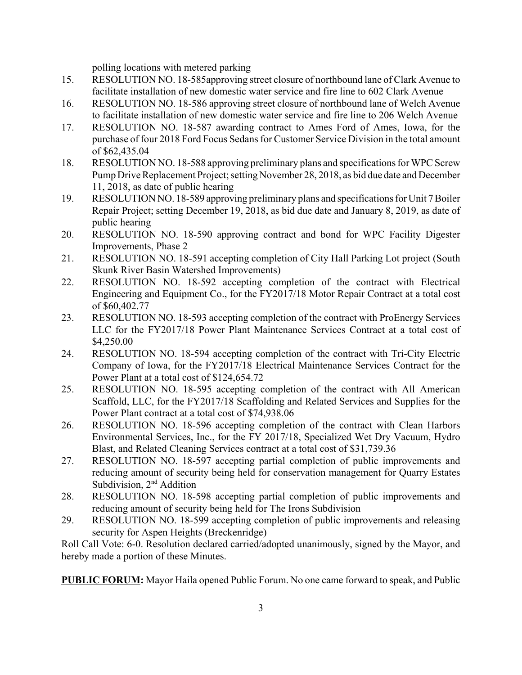polling locations with metered parking

- 15. RESOLUTION NO. 18-585approving street closure of northbound lane of Clark Avenue to facilitate installation of new domestic water service and fire line to 602 Clark Avenue
- 16. RESOLUTION NO. 18-586 approving street closure of northbound lane of Welch Avenue to facilitate installation of new domestic water service and fire line to 206 Welch Avenue
- 17. RESOLUTION NO. 18-587 awarding contract to Ames Ford of Ames, Iowa, for the purchase of four 2018 Ford Focus Sedans for Customer Service Division in the total amount of \$62,435.04
- 18. RESOLUTION NO. 18-588 approving preliminary plans and specifications for WPC Screw Pump Drive Replacement Project; setting November 28, 2018, as bid due date and December 11, 2018, as date of public hearing
- 19. RESOLUTION NO. 18-589 approving preliminary plans and specifications for Unit 7 Boiler Repair Project; setting December 19, 2018, as bid due date and January 8, 2019, as date of public hearing
- 20. RESOLUTION NO. 18-590 approving contract and bond for WPC Facility Digester Improvements, Phase 2
- 21. RESOLUTION NO. 18-591 accepting completion of City Hall Parking Lot project (South Skunk River Basin Watershed Improvements)
- 22. RESOLUTION NO. 18-592 accepting completion of the contract with Electrical Engineering and Equipment Co., for the FY2017/18 Motor Repair Contract at a total cost of \$60,402.77
- 23. RESOLUTION NO. 18-593 accepting completion of the contract with ProEnergy Services LLC for the FY2017/18 Power Plant Maintenance Services Contract at a total cost of \$4,250.00
- 24. RESOLUTION NO. 18-594 accepting completion of the contract with Tri-City Electric Company of Iowa, for the FY2017/18 Electrical Maintenance Services Contract for the Power Plant at a total cost of \$124,654.72
- 25. RESOLUTION NO. 18-595 accepting completion of the contract with All American Scaffold, LLC, for the FY2017/18 Scaffolding and Related Services and Supplies for the Power Plant contract at a total cost of \$74,938.06
- 26. RESOLUTION NO. 18-596 accepting completion of the contract with Clean Harbors Environmental Services, Inc., for the FY 2017/18, Specialized Wet Dry Vacuum, Hydro Blast, and Related Cleaning Services contract at a total cost of \$31,739.36
- 27. RESOLUTION NO. 18-597 accepting partial completion of public improvements and reducing amount of security being held for conservation management for Quarry Estates Subdivision, 2<sup>nd</sup> Addition
- 28. RESOLUTION NO. 18-598 accepting partial completion of public improvements and reducing amount of security being held for The Irons Subdivision
- 29. RESOLUTION NO. 18-599 accepting completion of public improvements and releasing security for Aspen Heights (Breckenridge)

Roll Call Vote: 6-0. Resolution declared carried/adopted unanimously, signed by the Mayor, and hereby made a portion of these Minutes.

**PUBLIC FORUM:** Mayor Haila opened Public Forum. No one came forward to speak, and Public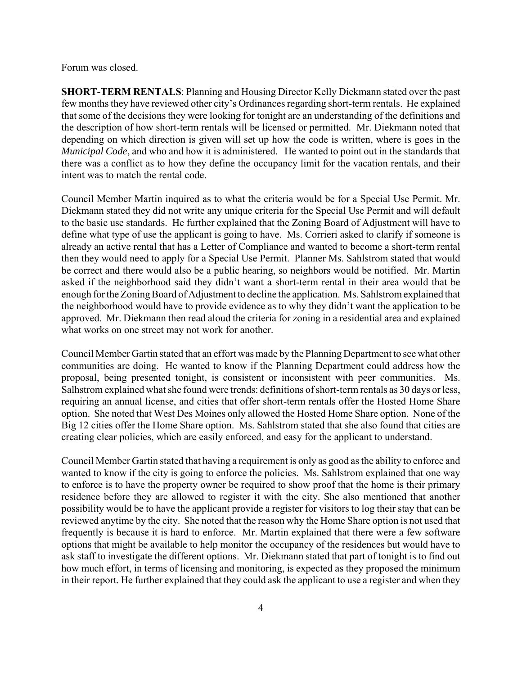Forum was closed.

**SHORT-TERM RENTALS**: Planning and Housing Director Kelly Diekmann stated over the past few months they have reviewed other city's Ordinances regarding short-term rentals. He explained that some of the decisions they were looking for tonight are an understanding of the definitions and the description of how short-term rentals will be licensed or permitted. Mr. Diekmann noted that depending on which direction is given will set up how the code is written, where is goes in the *Municipal Code*, and who and how it is administered. He wanted to point out in the standards that there was a conflict as to how they define the occupancy limit for the vacation rentals, and their intent was to match the rental code.

Council Member Martin inquired as to what the criteria would be for a Special Use Permit. Mr. Diekmann stated they did not write any unique criteria for the Special Use Permit and will default to the basic use standards. He further explained that the Zoning Board of Adjustment will have to define what type of use the applicant is going to have. Ms. Corrieri asked to clarify if someone is already an active rental that has a Letter of Compliance and wanted to become a short-term rental then they would need to apply for a Special Use Permit. Planner Ms. Sahlstrom stated that would be correct and there would also be a public hearing, so neighbors would be notified. Mr. Martin asked if the neighborhood said they didn't want a short-term rental in their area would that be enough for the Zoning Board of Adjustment to decline the application. Ms. Sahlstrom explained that the neighborhood would have to provide evidence as to why they didn't want the application to be approved. Mr. Diekmann then read aloud the criteria for zoning in a residential area and explained what works on one street may not work for another.

Council Member Gartin stated that an effort was made by the Planning Department to see what other communities are doing. He wanted to know if the Planning Department could address how the proposal, being presented tonight, is consistent or inconsistent with peer communities. Ms. Salhstrom explained what she found were trends: definitions of short-term rentals as 30 days or less, requiring an annual license, and cities that offer short-term rentals offer the Hosted Home Share option. She noted that West Des Moines only allowed the Hosted Home Share option. None of the Big 12 cities offer the Home Share option. Ms. Sahlstrom stated that she also found that cities are creating clear policies, which are easily enforced, and easy for the applicant to understand.

Council Member Gartin stated that having a requirement is only as good as the ability to enforce and wanted to know if the city is going to enforce the policies. Ms. Sahlstrom explained that one way to enforce is to have the property owner be required to show proof that the home is their primary residence before they are allowed to register it with the city. She also mentioned that another possibility would be to have the applicant provide a register for visitors to log their stay that can be reviewed anytime by the city. She noted that the reason why the Home Share option is not used that frequently is because it is hard to enforce. Mr. Martin explained that there were a few software options that might be available to help monitor the occupancy of the residences but would have to ask staff to investigate the different options. Mr. Diekmann stated that part of tonight is to find out how much effort, in terms of licensing and monitoring, is expected as they proposed the minimum in their report. He further explained that they could ask the applicant to use a register and when they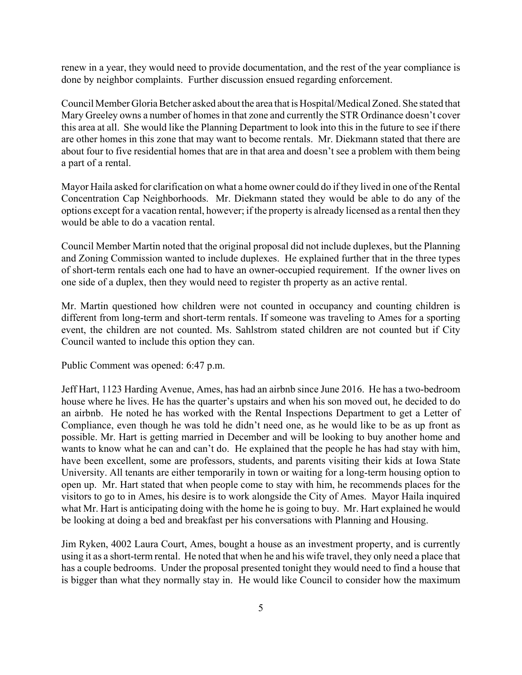renew in a year, they would need to provide documentation, and the rest of the year compliance is done by neighbor complaints. Further discussion ensued regarding enforcement.

Council Member Gloria Betcher asked about the area that is Hospital/Medical Zoned. She stated that Mary Greeley owns a number of homes in that zone and currently the STR Ordinance doesn't cover this area at all. She would like the Planning Department to look into this in the future to see if there are other homes in this zone that may want to become rentals. Mr. Diekmann stated that there are about four to five residential homes that are in that area and doesn't see a problem with them being a part of a rental.

Mayor Haila asked for clarification on what a home owner could do if they lived in one of the Rental Concentration Cap Neighborhoods. Mr. Diekmann stated they would be able to do any of the options except for a vacation rental, however; if the property is already licensed as a rental then they would be able to do a vacation rental.

Council Member Martin noted that the original proposal did not include duplexes, but the Planning and Zoning Commission wanted to include duplexes. He explained further that in the three types of short-term rentals each one had to have an owner-occupied requirement. If the owner lives on one side of a duplex, then they would need to register th property as an active rental.

Mr. Martin questioned how children were not counted in occupancy and counting children is different from long-term and short-term rentals. If someone was traveling to Ames for a sporting event, the children are not counted. Ms. Sahlstrom stated children are not counted but if City Council wanted to include this option they can.

Public Comment was opened: 6:47 p.m.

Jeff Hart, 1123 Harding Avenue, Ames, has had an airbnb since June 2016. He has a two-bedroom house where he lives. He has the quarter's upstairs and when his son moved out, he decided to do an airbnb. He noted he has worked with the Rental Inspections Department to get a Letter of Compliance, even though he was told he didn't need one, as he would like to be as up front as possible. Mr. Hart is getting married in December and will be looking to buy another home and wants to know what he can and can't do. He explained that the people he has had stay with him, have been excellent, some are professors, students, and parents visiting their kids at Iowa State University. All tenants are either temporarily in town or waiting for a long-term housing option to open up. Mr. Hart stated that when people come to stay with him, he recommends places for the visitors to go to in Ames, his desire is to work alongside the City of Ames. Mayor Haila inquired what Mr. Hart is anticipating doing with the home he is going to buy. Mr. Hart explained he would be looking at doing a bed and breakfast per his conversations with Planning and Housing.

Jim Ryken, 4002 Laura Court, Ames, bought a house as an investment property, and is currently using it as a short-term rental. He noted that when he and his wife travel, they only need a place that has a couple bedrooms. Under the proposal presented tonight they would need to find a house that is bigger than what they normally stay in. He would like Council to consider how the maximum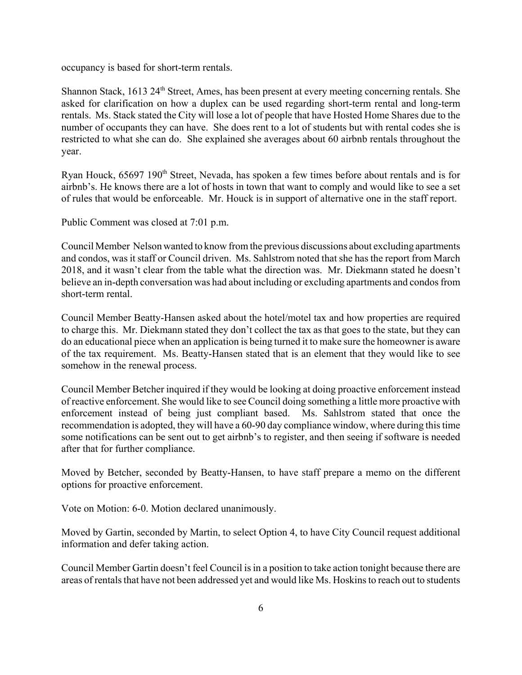occupancy is based for short-term rentals.

Shannon Stack,  $1613 \, 24^{\text{th}}$  Street, Ames, has been present at every meeting concerning rentals. She asked for clarification on how a duplex can be used regarding short-term rental and long-term rentals. Ms. Stack stated the City will lose a lot of people that have Hosted Home Shares due to the number of occupants they can have. She does rent to a lot of students but with rental codes she is restricted to what she can do. She explained she averages about 60 airbnb rentals throughout the year.

Ryan Houck, 65697 190<sup>th</sup> Street, Nevada, has spoken a few times before about rentals and is for airbnb's. He knows there are a lot of hosts in town that want to comply and would like to see a set of rules that would be enforceable. Mr. Houck is in support of alternative one in the staff report.

Public Comment was closed at 7:01 p.m.

Council Member Nelson wanted to know from the previous discussions about excluding apartments and condos, was it staff or Council driven. Ms. Sahlstrom noted that she has the report from March 2018, and it wasn't clear from the table what the direction was. Mr. Diekmann stated he doesn't believe an in-depth conversation was had about including or excluding apartments and condos from short-term rental.

Council Member Beatty-Hansen asked about the hotel/motel tax and how properties are required to charge this. Mr. Diekmann stated they don't collect the tax as that goes to the state, but they can do an educational piece when an application is being turned it to make sure the homeowner is aware of the tax requirement. Ms. Beatty-Hansen stated that is an element that they would like to see somehow in the renewal process.

Council Member Betcher inquired if they would be looking at doing proactive enforcement instead of reactive enforcement. She would like to see Council doing something a little more proactive with enforcement instead of being just compliant based. Ms. Sahlstrom stated that once the recommendation is adopted, they will have a 60-90 day compliance window, where during this time some notifications can be sent out to get airbnb's to register, and then seeing if software is needed after that for further compliance.

Moved by Betcher, seconded by Beatty-Hansen, to have staff prepare a memo on the different options for proactive enforcement.

Vote on Motion: 6-0. Motion declared unanimously.

Moved by Gartin, seconded by Martin, to select Option 4, to have City Council request additional information and defer taking action.

Council Member Gartin doesn't feel Council is in a position to take action tonight because there are areas of rentals that have not been addressed yet and would like Ms. Hoskins to reach out to students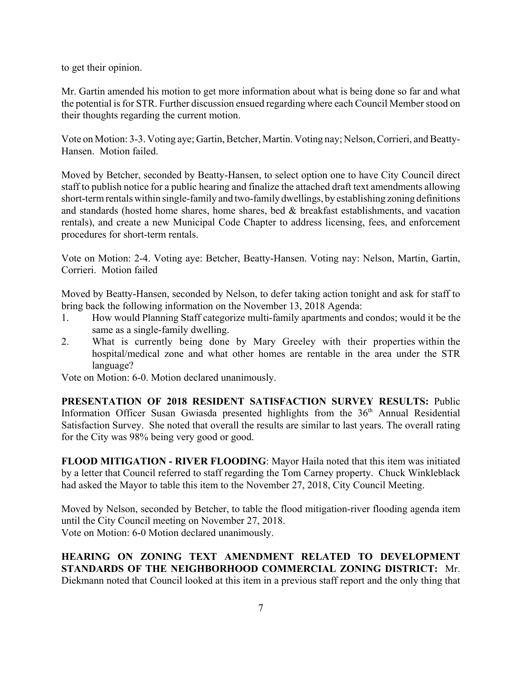to get their opinion.

Mr. Gartin amended his motion to get more information about what is being done so far and what the potential is for STR. Further discussion ensued regarding where each Council Member stood on their thoughts regarding the current motion.

Vote on Motion: 3-3. Voting aye; Gartin, Betcher, Martin. Voting nay; Nelson, Corrieri, and Beatty-Hansen. Motion failed.

Moved by Betcher, seconded by Beatty-Hansen, to select option one to have City Council direct staff to publish notice for a public hearing and finalize the attached draft text amendments allowing short-term rentals within single-family and two-family dwellings, by establishing zoning definitions and standards (hosted home shares, home shares, bed & breakfast establishments, and vacation rentals), and create a new Municipal Code Chapter to address licensing, fees, and enforcement procedures for short-term rentals.

Vote on Motion: 2-4. Voting aye: Betcher, Beatty-Hansen. Voting nay: Nelson, Martin, Gartin, Corrieri. Motion failed

Moved by Beatty-Hansen, seconded by Nelson, to defer taking action tonight and ask for staff to bring back the following information on the November 13, 2018 Agenda:

- 1. How would Planning Staff categorize multi-family apartments and condos; would it be the same as a single-family dwelling.
- 2. What is currently being done by Mary Greeley with their properties within the hospital/medical zone and what other homes are rentable in the area under the STR language?

Vote on Motion: 6-0. Motion declared unanimously.

**PRESENTATION OF 2018 RESIDENT SATISFACTION SURVEY RESULTS:** Public Information Officer Susan Gwiasda presented highlights from the  $36<sup>th</sup>$  Annual Residential Satisfaction Survey. She noted that overall the results are similar to last years. The overall rating for the City was 98% being very good or good.

**FLOOD MITIGATION - RIVER FLOODING**: Mayor Haila noted that this item was initiated by a letter that Council referred to staff regarding the Tom Carney property. Chuck Winkleblack had asked the Mayor to table this item to the November 27, 2018, City Council Meeting.

Moved by Nelson, seconded by Betcher, to table the flood mitigation-river flooding agenda item until the City Council meeting on November 27, 2018. Vote on Motion: 6-0 Motion declared unanimously.

**HEARING ON ZONING TEXT AMENDMENT RELATED TO DEVELOPMENT STANDARDS OF THE NEIGHBORHOOD COMMERCIAL ZONING DISTRICT:** Mr. Diekmann noted that Council looked at this item in a previous staff report and the only thing that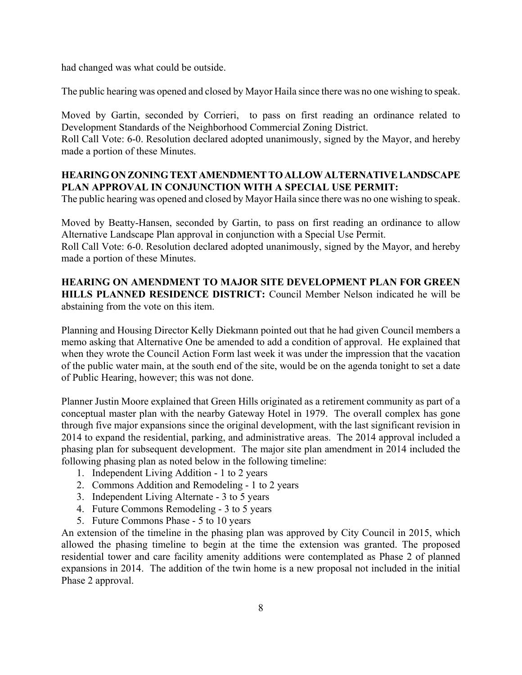had changed was what could be outside.

The public hearing was opened and closed by Mayor Haila since there was no one wishing to speak.

Moved by Gartin, seconded by Corrieri, to pass on first reading an ordinance related to Development Standards of the Neighborhood Commercial Zoning District.

Roll Call Vote: 6-0. Resolution declared adopted unanimously, signed by the Mayor, and hereby made a portion of these Minutes.

## **HEARING ON ZONING TEXT AMENDMENT TO ALLOW ALTERNATIVE LANDSCAPE PLAN APPROVAL IN CONJUNCTION WITH A SPECIAL USE PERMIT:**

The public hearing was opened and closed by Mayor Haila since there was no one wishing to speak.

Moved by Beatty-Hansen, seconded by Gartin, to pass on first reading an ordinance to allow Alternative Landscape Plan approval in conjunction with a Special Use Permit.

Roll Call Vote: 6-0. Resolution declared adopted unanimously, signed by the Mayor, and hereby made a portion of these Minutes.

# **HEARING ON AMENDMENT TO MAJOR SITE DEVELOPMENT PLAN FOR GREEN HILLS PLANNED RESIDENCE DISTRICT:** Council Member Nelson indicated he will be abstaining from the vote on this item.

Planning and Housing Director Kelly Diekmann pointed out that he had given Council members a memo asking that Alternative One be amended to add a condition of approval. He explained that when they wrote the Council Action Form last week it was under the impression that the vacation of the public water main, at the south end of the site, would be on the agenda tonight to set a date of Public Hearing, however; this was not done.

Planner Justin Moore explained that Green Hills originated as a retirement community as part of a conceptual master plan with the nearby Gateway Hotel in 1979. The overall complex has gone through five major expansions since the original development, with the last significant revision in 2014 to expand the residential, parking, and administrative areas. The 2014 approval included a phasing plan for subsequent development. The major site plan amendment in 2014 included the following phasing plan as noted below in the following timeline:

- 1. Independent Living Addition 1 to 2 years
- 2. Commons Addition and Remodeling 1 to 2 years
- 3. Independent Living Alternate 3 to 5 years
- 4. Future Commons Remodeling 3 to 5 years
- 5. Future Commons Phase 5 to 10 years

An extension of the timeline in the phasing plan was approved by City Council in 2015, which allowed the phasing timeline to begin at the time the extension was granted. The proposed residential tower and care facility amenity additions were contemplated as Phase 2 of planned expansions in 2014. The addition of the twin home is a new proposal not included in the initial Phase 2 approval.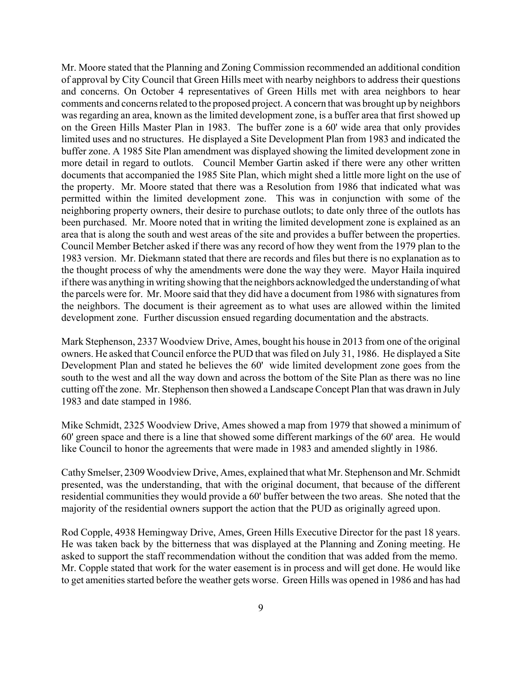Mr. Moore stated that the Planning and Zoning Commission recommended an additional condition of approval by City Council that Green Hills meet with nearby neighbors to address their questions and concerns. On October 4 representatives of Green Hills met with area neighbors to hear comments and concerns related to the proposed project. A concern that was brought up by neighbors was regarding an area, known as the limited development zone, is a buffer area that first showed up on the Green Hills Master Plan in 1983. The buffer zone is a 60' wide area that only provides limited uses and no structures. He displayed a Site Development Plan from 1983 and indicated the buffer zone. A 1985 Site Plan amendment was displayed showing the limited development zone in more detail in regard to outlots. Council Member Gartin asked if there were any other written documents that accompanied the 1985 Site Plan, which might shed a little more light on the use of the property. Mr. Moore stated that there was a Resolution from 1986 that indicated what was permitted within the limited development zone. This was in conjunction with some of the neighboring property owners, their desire to purchase outlots; to date only three of the outlots has been purchased. Mr. Moore noted that in writing the limited development zone is explained as an area that is along the south and west areas of the site and provides a buffer between the properties. Council Member Betcher asked if there was any record of how they went from the 1979 plan to the 1983 version. Mr. Diekmann stated that there are records and files but there is no explanation as to the thought process of why the amendments were done the way they were. Mayor Haila inquired if there was anything in writing showing that the neighbors acknowledged the understanding of what the parcels were for. Mr. Moore said that they did have a document from 1986 with signatures from the neighbors. The document is their agreement as to what uses are allowed within the limited development zone. Further discussion ensued regarding documentation and the abstracts.

Mark Stephenson, 2337 Woodview Drive, Ames, bought his house in 2013 from one of the original owners. He asked that Council enforce the PUD that was filed on July 31, 1986. He displayed a Site Development Plan and stated he believes the 60' wide limited development zone goes from the south to the west and all the way down and across the bottom of the Site Plan as there was no line cutting off the zone. Mr. Stephenson then showed a Landscape Concept Plan that was drawn in July 1983 and date stamped in 1986.

Mike Schmidt, 2325 Woodview Drive, Ames showed a map from 1979 that showed a minimum of 60' green space and there is a line that showed some different markings of the 60' area. He would like Council to honor the agreements that were made in 1983 and amended slightly in 1986.

Cathy Smelser, 2309 Woodview Drive, Ames, explained that what Mr. Stephenson and Mr. Schmidt presented, was the understanding, that with the original document, that because of the different residential communities they would provide a 60' buffer between the two areas. She noted that the majority of the residential owners support the action that the PUD as originally agreed upon.

Rod Copple, 4938 Hemingway Drive, Ames, Green Hills Executive Director for the past 18 years. He was taken back by the bitterness that was displayed at the Planning and Zoning meeting. He asked to support the staff recommendation without the condition that was added from the memo. Mr. Copple stated that work for the water easement is in process and will get done. He would like to get amenities started before the weather gets worse. Green Hills was opened in 1986 and has had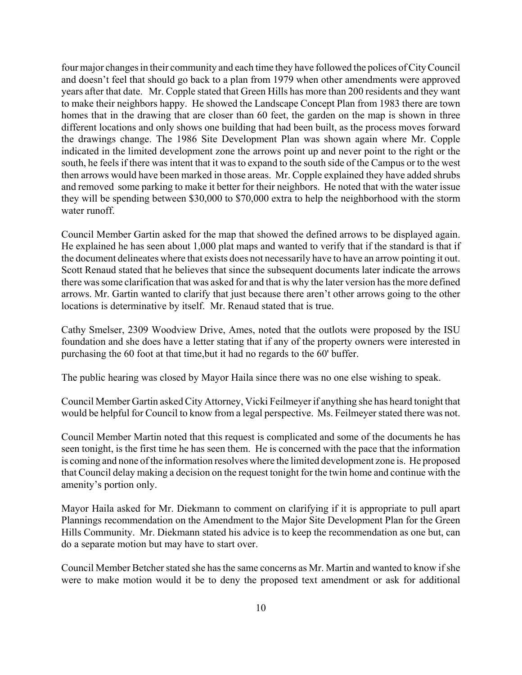four major changes in their community and each time they have followed the polices of City Council and doesn't feel that should go back to a plan from 1979 when other amendments were approved years after that date. Mr. Copple stated that Green Hills has more than 200 residents and they want to make their neighbors happy. He showed the Landscape Concept Plan from 1983 there are town homes that in the drawing that are closer than 60 feet, the garden on the map is shown in three different locations and only shows one building that had been built, as the process moves forward the drawings change. The 1986 Site Development Plan was shown again where Mr. Copple indicated in the limited development zone the arrows point up and never point to the right or the south, he feels if there was intent that it was to expand to the south side of the Campus or to the west then arrows would have been marked in those areas. Mr. Copple explained they have added shrubs and removed some parking to make it better for their neighbors. He noted that with the water issue they will be spending between \$30,000 to \$70,000 extra to help the neighborhood with the storm water runoff.

Council Member Gartin asked for the map that showed the defined arrows to be displayed again. He explained he has seen about 1,000 plat maps and wanted to verify that if the standard is that if the document delineates where that exists does not necessarily have to have an arrow pointing it out. Scott Renaud stated that he believes that since the subsequent documents later indicate the arrows there was some clarification that was asked for and that is why the later version has the more defined arrows. Mr. Gartin wanted to clarify that just because there aren't other arrows going to the other locations is determinative by itself. Mr. Renaud stated that is true.

Cathy Smelser, 2309 Woodview Drive, Ames, noted that the outlots were proposed by the ISU foundation and she does have a letter stating that if any of the property owners were interested in purchasing the 60 foot at that time,but it had no regards to the 60' buffer.

The public hearing was closed by Mayor Haila since there was no one else wishing to speak.

Council Member Gartin asked City Attorney, Vicki Feilmeyer if anything she has heard tonight that would be helpful for Council to know from a legal perspective. Ms. Feilmeyer stated there was not.

Council Member Martin noted that this request is complicated and some of the documents he has seen tonight, is the first time he has seen them. He is concerned with the pace that the information is coming and none of the information resolves where the limited development zone is. He proposed that Council delay making a decision on the request tonight for the twin home and continue with the amenity's portion only.

Mayor Haila asked for Mr. Diekmann to comment on clarifying if it is appropriate to pull apart Plannings recommendation on the Amendment to the Major Site Development Plan for the Green Hills Community. Mr. Diekmann stated his advice is to keep the recommendation as one but, can do a separate motion but may have to start over.

Council Member Betcher stated she has the same concerns as Mr. Martin and wanted to know if she were to make motion would it be to deny the proposed text amendment or ask for additional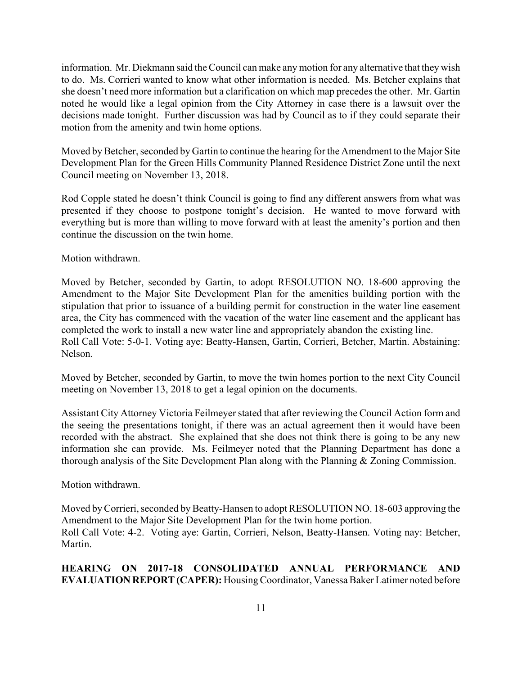information. Mr. Diekmann said the Council can make any motion for any alternative that they wish to do. Ms. Corrieri wanted to know what other information is needed. Ms. Betcher explains that she doesn't need more information but a clarification on which map precedes the other. Mr. Gartin noted he would like a legal opinion from the City Attorney in case there is a lawsuit over the decisions made tonight. Further discussion was had by Council as to if they could separate their motion from the amenity and twin home options.

Moved by Betcher, seconded by Gartin to continue the hearing for the Amendment to the Major Site Development Plan for the Green Hills Community Planned Residence District Zone until the next Council meeting on November 13, 2018.

Rod Copple stated he doesn't think Council is going to find any different answers from what was presented if they choose to postpone tonight's decision. He wanted to move forward with everything but is more than willing to move forward with at least the amenity's portion and then continue the discussion on the twin home.

Motion withdrawn.

Moved by Betcher, seconded by Gartin, to adopt RESOLUTION NO. 18-600 approving the Amendment to the Major Site Development Plan for the amenities building portion with the stipulation that prior to issuance of a building permit for construction in the water line easement area, the City has commenced with the vacation of the water line easement and the applicant has completed the work to install a new water line and appropriately abandon the existing line. Roll Call Vote: 5-0-1. Voting aye: Beatty-Hansen, Gartin, Corrieri, Betcher, Martin. Abstaining: Nelson.

Moved by Betcher, seconded by Gartin, to move the twin homes portion to the next City Council meeting on November 13, 2018 to get a legal opinion on the documents.

Assistant City Attorney Victoria Feilmeyer stated that after reviewing the Council Action form and the seeing the presentations tonight, if there was an actual agreement then it would have been recorded with the abstract. She explained that she does not think there is going to be any new information she can provide. Ms. Feilmeyer noted that the Planning Department has done a thorough analysis of the Site Development Plan along with the Planning & Zoning Commission.

Motion withdrawn.

Moved by Corrieri, seconded by Beatty-Hansen to adopt RESOLUTION NO. 18-603 approving the Amendment to the Major Site Development Plan for the twin home portion. Roll Call Vote: 4-2. Voting aye: Gartin, Corrieri, Nelson, Beatty-Hansen. Voting nay: Betcher, Martin.

# **HEARING ON 2017-18 CONSOLIDATED ANNUAL PERFORMANCE AND EVALUATION REPORT (CAPER):** Housing Coordinator, Vanessa Baker Latimer noted before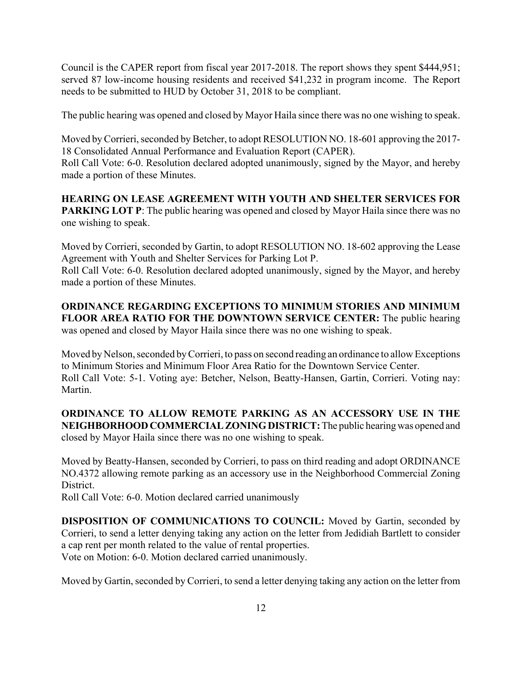Council is the CAPER report from fiscal year 2017-2018. The report shows they spent \$444,951; served 87 low-income housing residents and received \$41,232 in program income. The Report needs to be submitted to HUD by October 31, 2018 to be compliant.

The public hearing was opened and closed by Mayor Haila since there was no one wishing to speak.

Moved by Corrieri, seconded by Betcher, to adopt RESOLUTION NO. 18-601 approving the 2017- 18 Consolidated Annual Performance and Evaluation Report (CAPER). Roll Call Vote: 6-0. Resolution declared adopted unanimously, signed by the Mayor, and hereby made a portion of these Minutes.

**HEARING ON LEASE AGREEMENT WITH YOUTH AND SHELTER SERVICES FOR PARKING LOT P:** The public hearing was opened and closed by Mayor Haila since there was no one wishing to speak.

Moved by Corrieri, seconded by Gartin, to adopt RESOLUTION NO. 18-602 approving the Lease Agreement with Youth and Shelter Services for Parking Lot P.

Roll Call Vote: 6-0. Resolution declared adopted unanimously, signed by the Mayor, and hereby made a portion of these Minutes.

**ORDINANCE REGARDING EXCEPTIONS TO MINIMUM STORIES AND MINIMUM FLOOR AREA RATIO FOR THE DOWNTOWN SERVICE CENTER:** The public hearing was opened and closed by Mayor Haila since there was no one wishing to speak.

Moved by Nelson, seconded by Corrieri, to pass on second reading an ordinance to allow Exceptions to Minimum Stories and Minimum Floor Area Ratio for the Downtown Service Center. Roll Call Vote: 5-1. Voting aye: Betcher, Nelson, Beatty-Hansen, Gartin, Corrieri. Voting nay: Martin.

**ORDINANCE TO ALLOW REMOTE PARKING AS AN ACCESSORY USE IN THE NEIGHBORHOOD COMMERCIAL ZONING DISTRICT:** The public hearing was opened and closed by Mayor Haila since there was no one wishing to speak.

Moved by Beatty-Hansen, seconded by Corrieri, to pass on third reading and adopt ORDINANCE NO.4372 allowing remote parking as an accessory use in the Neighborhood Commercial Zoning District.

Roll Call Vote: 6-0. Motion declared carried unanimously

**DISPOSITION OF COMMUNICATIONS TO COUNCIL:** Moved by Gartin, seconded by Corrieri, to send a letter denying taking any action on the letter from Jedidiah Bartlett to consider a cap rent per month related to the value of rental properties. Vote on Motion: 6-0. Motion declared carried unanimously.

Moved by Gartin, seconded by Corrieri, to send a letter denying taking any action on the letter from